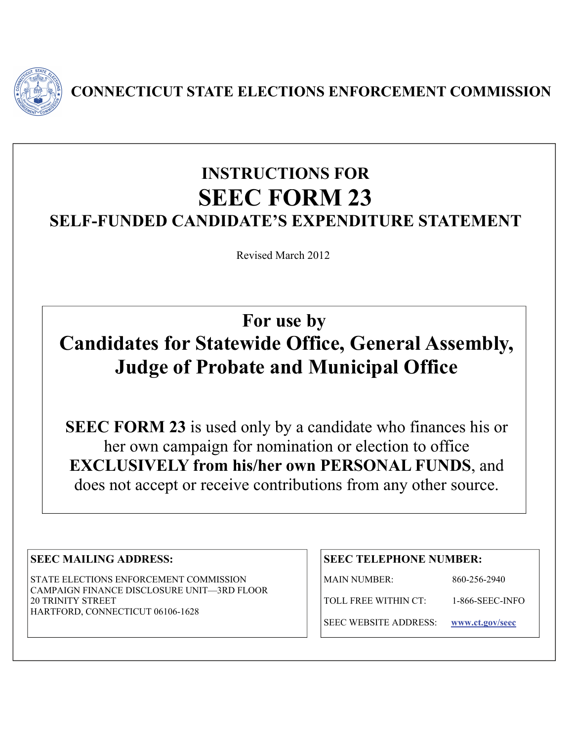

**CONNECTICUT STATE ELECTIONS ENFORCEMENT COMMISSION** 

## **INSTRUCTIONS FOR SEEC FORM 23 SELF-FUNDED CANDIDATE'S EXPENDITURE STATEMENT**

Revised March 2012

**For use by Candidates for Statewide Office, General Assembly, Judge of Probate and Municipal Office** 

**SEEC FORM 23** is used only by a candidate who finances his or her own campaign for nomination or election to office **EXCLUSIVELY from his/her own PERSONAL FUNDS**, and does not accept or receive contributions from any other source.

## **SEEC MAILING ADDRESS:**

STATE ELECTIONS ENFORCEMENT COMMISSION CAMPAIGN FINANCE DISCLOSURE UNIT—3RD FLOOR 20 TRINITY STREET HARTFORD, CONNECTICUT 06106-1628

## **SEEC TELEPHONE NUMBER:**

MAIN NUMBER: 860-256-2940

TOLL FREE WITHIN CT: 1-866-SEEC-INFO

SEEC WEBSITE ADDRESS: **[www.ct.gov/seec](http://www.ct.gov/seec)**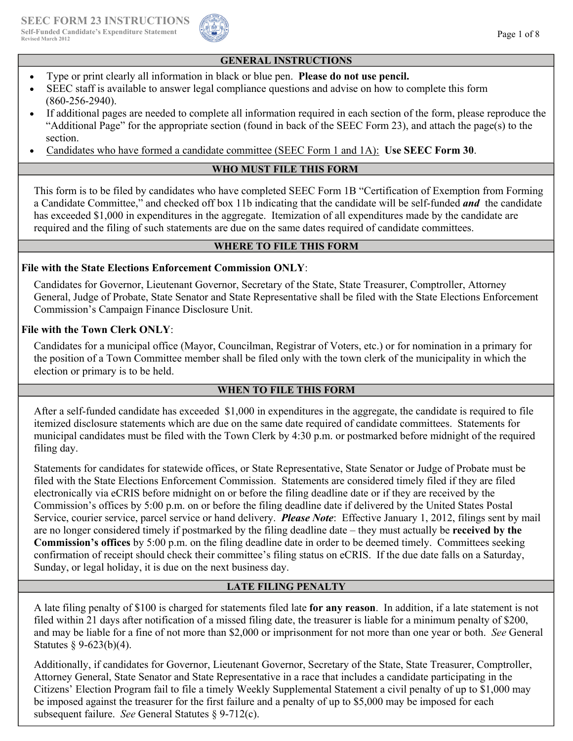

#### **GENERAL INSTRUCTIONS**

- Type or print clearly all information in black or blue pen. **Please do not use pencil.**
- SEEC staff is available to answer legal compliance questions and advise on how to complete this form (860-256-2940).
- If additional pages are needed to complete all information required in each section of the form, please reproduce the "Additional Page" for the appropriate section (found in back of the SEEC Form 23), and attach the page(s) to the section.
- Candidates who have formed a candidate committee (SEEC Form 1 and 1A): **Use SEEC Form 30**.

## **WHO MUST FILE THIS FORM**

This form is to be filed by candidates who have completed SEEC Form 1B "Certification of Exemption from Forming a Candidate Committee," and checked off box 11b indicating that the candidate will be self-funded *and* the candidate has exceeded \$1,000 in expenditures in the aggregate. Itemization of all expenditures made by the candidate are required and the filing of such statements are due on the same dates required of candidate committees.

#### **WHERE TO FILE THIS FORM**

## **File with the State Elections Enforcement Commission ONLY**:

Candidates for Governor, Lieutenant Governor, Secretary of the State, State Treasurer, Comptroller, Attorney General, Judge of Probate, State Senator and State Representative shall be filed with the State Elections Enforcement Commission's Campaign Finance Disclosure Unit.

#### **File with the Town Clerk ONLY**:

Candidates for a municipal office (Mayor, Councilman, Registrar of Voters, etc.) or for nomination in a primary for the position of a Town Committee member shall be filed only with the town clerk of the municipality in which the election or primary is to be held.

## **WHEN TO FILE THIS FORM**

After a self-funded candidate has exceeded \$1,000 in expenditures in the aggregate, the candidate is required to file itemized disclosure statements which are due on the same date required of candidate committees. Statements for municipal candidates must be filed with the Town Clerk by 4:30 p.m. or postmarked before midnight of the required filing day.

Statements for candidates for statewide offices, or State Representative, State Senator or Judge of Probate must be filed with the State Elections Enforcement Commission. Statements are considered timely filed if they are filed electronically via eCRIS before midnight on or before the filing deadline date or if they are received by the Commission's offices by 5:00 p.m. on or before the filing deadline date if delivered by the United States Postal Service, courier service, parcel service or hand delivery. *Please Note*: Effective January 1, 2012, filings sent by mail are no longer considered timely if postmarked by the filing deadline date – they must actually be **received by the Commission's offices** by 5:00 p.m. on the filing deadline date in order to be deemed timely. Committees seeking confirmation of receipt should check their committee's filing status on eCRIS. If the due date falls on a Saturday, Sunday, or legal holiday, it is due on the next business day.

## **LATE FILING PENALTY**

A late filing penalty of \$100 is charged for statements filed late **for any reason**. In addition, if a late statement is not filed within 21 days after notification of a missed filing date, the treasurer is liable for a minimum penalty of \$200, and may be liable for a fine of not more than \$2,000 or imprisonment for not more than one year or both. *See* General Statutes  $\S$  9-623(b)(4).

Additionally, if candidates for Governor, Lieutenant Governor, Secretary of the State, State Treasurer, Comptroller, Attorney General, State Senator and State Representative in a race that includes a candidate participating in the Citizens' Election Program fail to file a timely Weekly Supplemental Statement a civil penalty of up to \$1,000 may be imposed against the treasurer for the first failure and a penalty of up to \$5,000 may be imposed for each subsequent failure. *See* General Statutes § 9-712(c).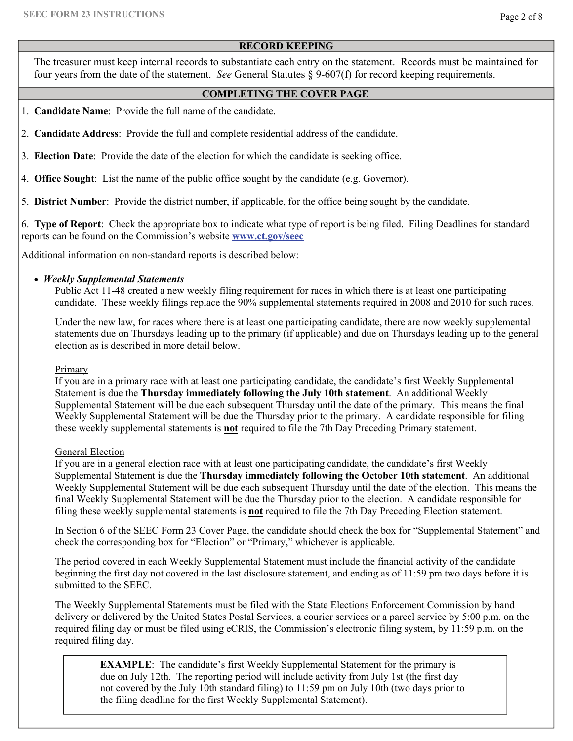### **RECORD KEEPING**

The treasurer must keep internal records to substantiate each entry on the statement. Records must be maintained for four years from the date of the statement. *See* General Statutes § 9-607(f) for record keeping requirements.

### **COMPLETING THE COVER PAGE**

- 1. **Candidate Name**: Provide the full name of the candidate.
- 2. **Candidate Address**: Provide the full and complete residential address of the candidate.
- 3. **Election Date**: Provide the date of the election for which the candidate is seeking office.
- 4. **Office Sought**: List the name of the public office sought by the candidate (e.g. Governor).

5. **District Number**: Provide the district number, if applicable, for the office being sought by the candidate.

6. **Type of Report**:Check the appropriate box to indicate what type of report is being filed. Filing Deadlines for standard reports can be found on the Commission's website **[www.ct.gov/seec](http://www.ct.gov/seec)**

Additional information on non-standard reports is described below:

## •*Weekly Supplemental Statements*

Public Act 11-48 created a new weekly filing requirement for races in which there is at least one participating candidate. These weekly filings replace the 90% supplemental statements required in 2008 and 2010 for such races.

Under the new law, for races where there is at least one participating candidate, there are now weekly supplemental statements due on Thursdays leading up to the primary (if applicable) and due on Thursdays leading up to the general election as is described in more detail below.

#### Primary

If you are in a primary race with at least one participating candidate, the candidate's first Weekly Supplemental Statement is due the **Thursday immediately following the July 10th statement**. An additional Weekly Supplemental Statement will be due each subsequent Thursday until the date of the primary. This means the final Weekly Supplemental Statement will be due the Thursday prior to the primary. A candidate responsible for filing these weekly supplemental statements is **not** required to file the 7th Day Preceding Primary statement.

#### General Election

If you are in a general election race with at least one participating candidate, the candidate's first Weekly Supplemental Statement is due the **Thursday immediately following the October 10th statement**. An additional Weekly Supplemental Statement will be due each subsequent Thursday until the date of the election. This means the final Weekly Supplemental Statement will be due the Thursday prior to the election. A candidate responsible for filing these weekly supplemental statements is **not** required to file the 7th Day Preceding Election statement.

In Section 6 of the SEEC Form 23 Cover Page, the candidate should check the box for "Supplemental Statement" and check the corresponding box for "Election" or "Primary," whichever is applicable.

The period covered in each Weekly Supplemental Statement must include the financial activity of the candidate beginning the first day not covered in the last disclosure statement, and ending as of 11:59 pm two days before it is submitted to the SEEC.

The Weekly Supplemental Statements must be filed with the State Elections Enforcement Commission by hand delivery or delivered by the United States Postal Services, a courier services or a parcel service by 5:00 p.m. on the required filing day or must be filed using eCRIS, the Commission's electronic filing system, by 11:59 p.m. on the required filing day.

**EXAMPLE**: The candidate's first Weekly Supplemental Statement for the primary is due on July 12th. The reporting period will include activity from July 1st (the first day not covered by the July 10th standard filing) to 11:59 pm on July 10th (two days prior to the filing deadline for the first Weekly Supplemental Statement).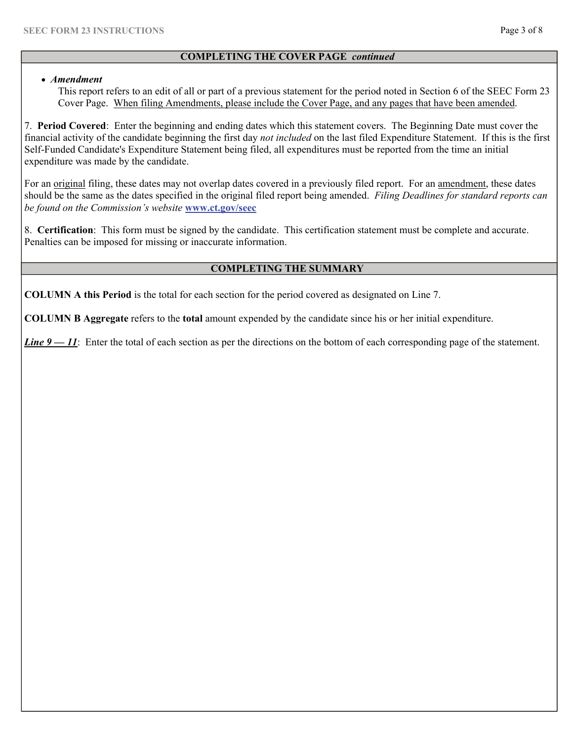## **COMPLETING THE COVER PAGE** *continued*

#### • *Amendment*

This report refers to an edit of all or part of a previous statement for the period noted in Section 6 of the SEEC Form 23 Cover Page. When filing Amendments, please include the Cover Page, and any pages that have been amended.

7. **Period Covered**: Enter the beginning and ending dates which this statement covers. The Beginning Date must cover the financial activity of the candidate beginning the first day *not included* on the last filed Expenditure Statement. If this is the first Self-Funded Candidate's Expenditure Statement being filed, all expenditures must be reported from the time an initial expenditure was made by the candidate.

For an <u>original</u> filing, these dates may not overlap dates covered in a previously filed report. For an amendment, these dates should be the same as the dates specified in the original filed report being amended. *Filing Deadlines for standard reports can be found on the Commission's website* **[www.ct.gov/seec](http://www.ct.gov/seec)**

8. **Certification**: This form must be signed by the candidate. This certification statement must be complete and accurate. Penalties can be imposed for missing or inaccurate information.

## **COMPLETING THE SUMMARY**

**COLUMN A this Period** is the total for each section for the period covered as designated on Line 7.

**COLUMN B Aggregate** refers to the **total** amount expended by the candidate since his or her initial expenditure.

*Line*  $9 - 11$ : Enter the total of each section as per the directions on the bottom of each corresponding page of the statement.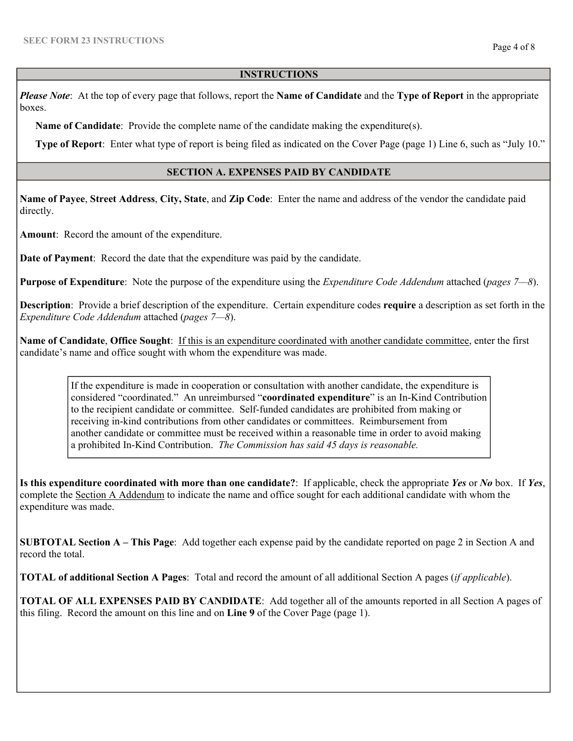#### **INSTRUCTIONS**

*Please Note*:At the top of every page that follows, report the **Name of Candidate** and the **Type of Report** in the appropriate boxes.

 **Name of Candidate**: Provide the complete name of the candidate making the expenditure(s).

 **Type of Report**: Enter what type of report is being filed as indicated on the Cover Page (page 1) Line 6, such as "July 10."

#### **SECTION A. EXPENSES PAID BY CANDIDATE**

**Name of Payee**, **Street Address**, **City, State**, and **Zip Code**: Enter the name and address of the vendor the candidate paid directly.

**Amount**: Record the amount of the expenditure.

**Date of Payment**: Record the date that the expenditure was paid by the candidate.

**Purpose of Expenditure**: Note the purpose of the expenditure using the *Expenditure Code Addendum* attached (*pages 7—8*).

**Description**: Provide a brief description of the expenditure. Certain expenditure codes **require** a description as set forth in the *Expenditure Code Addendum* attached (*pages 7—8*).

**Name of Candidate**, **Office Sought**: If this is an expenditure coordinated with another candidate committee, enter the first candidate's name and office sought with whom the expenditure was made.

If the expenditure is made in cooperation or consultation with another candidate, the expenditure is considered "coordinated." An unreimbursed "**coordinated expenditure**" is an In-Kind Contribution to the recipient candidate or committee. Self-funded candidates are prohibited from making or receiving in-kind contributions from other candidates or committees. Reimbursement from another candidate or committee must be received within a reasonable time in order to avoid making a prohibited In-Kind Contribution. *The Commission has said 45 days is reasonable.* 

**Is this expenditure coordinated with more than one candidate?**: If applicable, check the appropriate *Yes* or *No* box. If *Yes*, complete the Section A Addendum to indicate the name and office sought for each additional candidate with whom the expenditure was made.

**SUBTOTAL Section A – This Page**: Add together each expense paid by the candidate reported on page 2 in Section A and record the total.

**TOTAL of additional Section A Pages**: Total and record the amount of all additional Section A pages (*if applicable*).

**TOTAL OF ALL EXPENSES PAID BY CANDIDATE**: Add together all of the amounts reported in all Section A pages of this filing. Record the amount on this line and on **Line 9** of the Cover Page (page 1).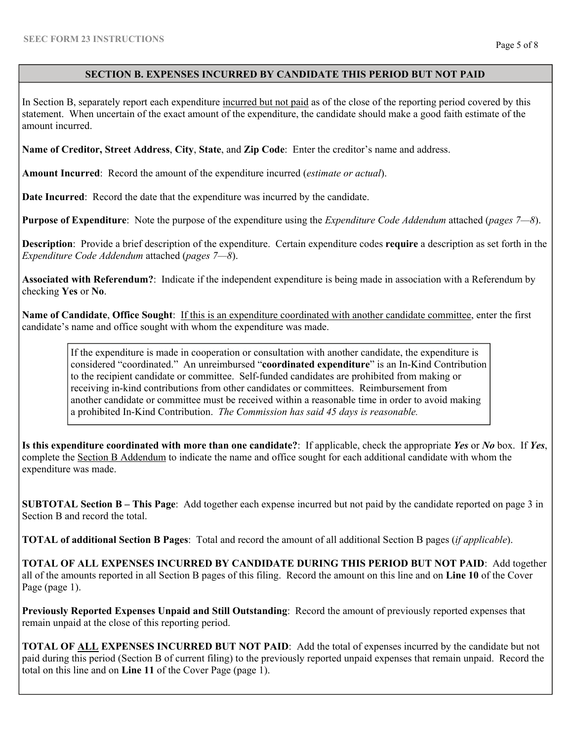## **SECTION B. EXPENSES INCURRED BY CANDIDATE THIS PERIOD BUT NOT PAID**

In Section B, separately report each expenditure incurred but not paid as of the close of the reporting period covered by this statement. When uncertain of the exact amount of the expenditure, the candidate should make a good faith estimate of the amount incurred.

**Name of Creditor, Street Address**, **City**, **State**, and **Zip Code**: Enter the creditor's name and address.

**Amount Incurred**: Record the amount of the expenditure incurred (*estimate or actual*).

**Date Incurred**: Record the date that the expenditure was incurred by the candidate.

**Purpose of Expenditure**: Note the purpose of the expenditure using the *Expenditure Code Addendum* attached (*pages 7—8*).

**Description**: Provide a brief description of the expenditure. Certain expenditure codes **require** a description as set forth in the *Expenditure Code Addendum* attached (*pages 7—8*).

**Associated with Referendum?**: Indicate if the independent expenditure is being made in association with a Referendum by checking **Yes** or **No**.

**Name of Candidate**, **Office Sought**: If this is an expenditure coordinated with another candidate committee, enter the first candidate's name and office sought with whom the expenditure was made.

If the expenditure is made in cooperation or consultation with another candidate, the expenditure is considered "coordinated." An unreimbursed "**coordinated expenditure**" is an In-Kind Contribution to the recipient candidate or committee. Self-funded candidates are prohibited from making or receiving in-kind contributions from other candidates or committees. Reimbursement from another candidate or committee must be received within a reasonable time in order to avoid making a prohibited In-Kind Contribution. *The Commission has said 45 days is reasonable.* 

**Is this expenditure coordinated with more than one candidate?**: If applicable, check the appropriate *Yes* or *No* box. If *Yes*, complete the Section B Addendum to indicate the name and office sought for each additional candidate with whom the expenditure was made.

**SUBTOTAL Section B – This Page**: Add together each expense incurred but not paid by the candidate reported on page 3 in Section B and record the total.

**TOTAL of additional Section B Pages**: Total and record the amount of all additional Section B pages (*if applicable*).

**TOTAL OF ALL EXPENSES INCURRED BY CANDIDATE DURING THIS PERIOD BUT NOT PAID**: Add together all of the amounts reported in all Section B pages of this filing. Record the amount on this line and on **Line 10** of the Cover Page (page 1).

**Previously Reported Expenses Unpaid and Still Outstanding**: Record the amount of previously reported expenses that remain unpaid at the close of this reporting period.

**TOTAL OF ALL EXPENSES INCURRED BUT NOT PAID**: Add the total of expenses incurred by the candidate but not paid during this period (Section B of current filing) to the previously reported unpaid expenses that remain unpaid. Record the total on this line and on **Line 11** of the Cover Page (page 1).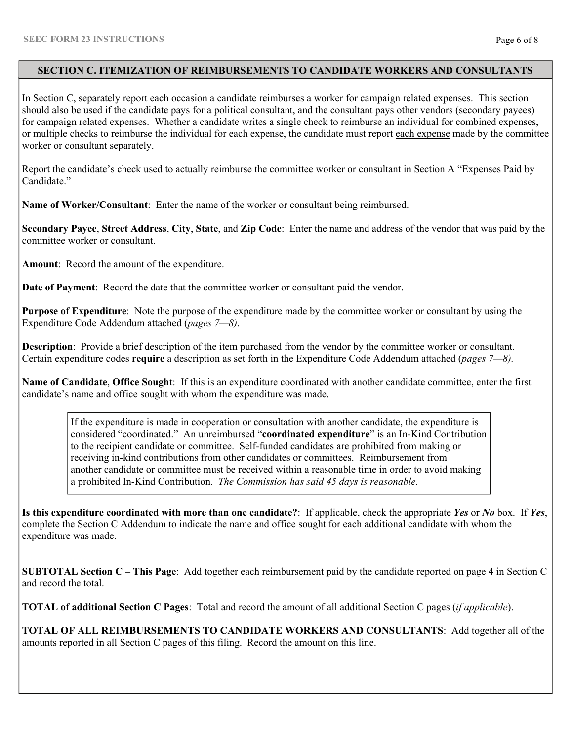#### **SECTION C. ITEMIZATION OF REIMBURSEMENTS TO CANDIDATE WORKERS AND CONSULTANTS**

In Section C, separately report each occasion a candidate reimburses a worker for campaign related expenses. This section should also be used if the candidate pays for a political consultant, and the consultant pays other vendors (secondary payees) for campaign related expenses. Whether a candidate writes a single check to reimburse an individual for combined expenses, or multiple checks to reimburse the individual for each expense, the candidate must report each expense made by the committee worker or consultant separately.

Report the candidate's check used to actually reimburse the committee worker or consultant in Section A "Expenses Paid by Candidate."

**Name of Worker/Consultant**: Enter the name of the worker or consultant being reimbursed.

**Secondary Payee**, **Street Address**, **City**, **State**, and **Zip Code**: Enter the name and address of the vendor that was paid by the committee worker or consultant.

**Amount**: Record the amount of the expenditure.

**Date of Payment**: Record the date that the committee worker or consultant paid the vendor.

**Purpose of Expenditure**: Note the purpose of the expenditure made by the committee worker or consultant by using the Expenditure Code Addendum attached (*pages 7—8)*.

**Description**: Provide a brief description of the item purchased from the vendor by the committee worker or consultant. Certain expenditure codes **require** a description as set forth in the Expenditure Code Addendum attached (*pages 7—8).*

**Name of Candidate**, **Office Sought**: If this is an expenditure coordinated with another candidate committee, enter the first candidate's name and office sought with whom the expenditure was made.

If the expenditure is made in cooperation or consultation with another candidate, the expenditure is considered "coordinated." An unreimbursed "**coordinated expenditure**" is an In-Kind Contribution to the recipient candidate or committee. Self-funded candidates are prohibited from making or receiving in-kind contributions from other candidates or committees. Reimbursement from another candidate or committee must be received within a reasonable time in order to avoid making a prohibited In-Kind Contribution. *The Commission has said 45 days is reasonable.* 

**Is this expenditure coordinated with more than one candidate?**: If applicable, check the appropriate *Yes* or *No* box. If *Yes*, complete the Section C Addendum to indicate the name and office sought for each additional candidate with whom the expenditure was made.

**SUBTOTAL Section C – This Page**: Add together each reimbursement paid by the candidate reported on page 4 in Section C and record the total.

**TOTAL of additional Section C Pages**: Total and record the amount of all additional Section C pages (*if applicable*).

**TOTAL OF ALL REIMBURSEMENTS TO CANDIDATE WORKERS AND CONSULTANTS**: Add together all of the amounts reported in all Section C pages of this filing. Record the amount on this line.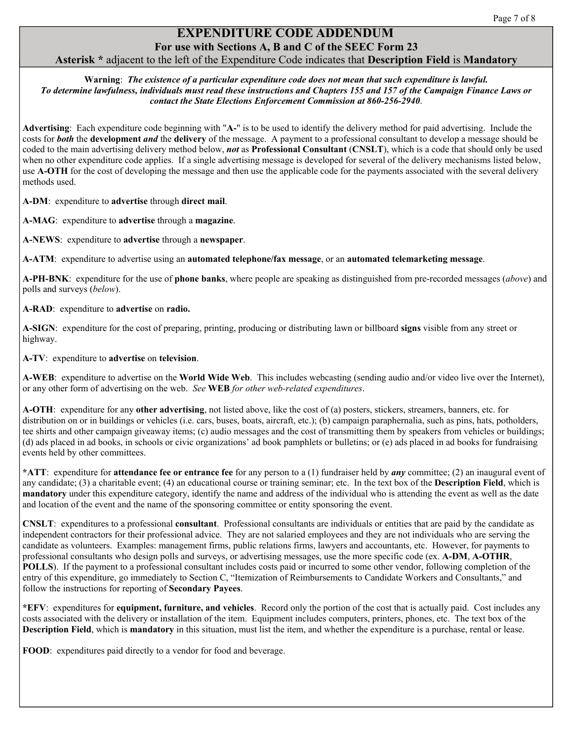# **PENDITURE CODE ADDENDUM**

# **For use with Sections A, B and C of the SEEC Form 23 Asterisk \*** adjacent to the left of the Expenditure Code indicates that **Description Field** is **Mandatory**

**Warning**: *The existence of a particular expenditure code does not mean that such expenditure is lawful. To determine lawfulness, individuals must read these instructions and Chapters 155 and 157 of the Campaign Finance Laws or contact the State Elections Enforcement Commission at 860-256-2940*.

**Advertising**:Each expenditure code beginning with "**A-**" is to be used to identify the delivery method for paid advertising. Include the costs for *both* the **development** *and* the **delivery** of the message. A payment to a professional consultant to develop a message should be coded to the main advertising delivery method below, *not* as **Professional Consultant** (**CNSLT**), which is a code that should only be used when no other expenditure code applies. If a single advertising message is developed for several of the delivery mechanisms listed below, use **A-OTH** for the cost of developing the message and then use the applicable code for the payments associated with the several delivery methods used.

**A-DM**: expenditure to **advertise** through **direct mail**.

**A-MAG**: expenditure to **advertise** through a **magazine**.

**A-NEWS**:expenditure to **advertise** through a **newspaper**.

**A-ATM**: expenditure to advertise using an **automated telephone/fax message**, or an **automated telemarketing message**.

**A-PH-BNK**: expenditure for the use of **phone banks**, where people are speaking as distinguished from pre-recorded messages (*above*) and polls and surveys (*below*).

#### **A-RAD**:expenditure to **advertise** on **radio.**

**A-SIGN**: expenditure for the cost of preparing, printing, producing or distributing lawn or billboard **signs** visible from any street or highway.

**A-TV**: expenditure to **advertise** on **television**.

**A-WEB**: expenditure to advertise on the **World Wide Web**. This includes webcasting (sending audio and/or video live over the Internet), or any other form of advertising on the web. *See* **WEB** *for other web-related expenditures*.

**A-OTH**: expenditure for any **other advertising**, not listed above, like the cost of (a) posters, stickers, streamers, banners, etc. for distribution on or in buildings or vehicles (i.e. cars, buses, boats, aircraft, etc.); (b) campaign paraphernalia, such as pins, hats, potholders, tee shirts and other campaign giveaway items; (c) audio messages and the cost of transmitting them by speakers from vehicles or buildings; (d) ads placed in ad books, in schools or civic organizations' ad book pamphlets or bulletins; or (e) ads placed in ad books for fundraising events held by other committees.

**\*ATT**:expenditure for **attendance fee or entrance fee** for any person to a (1) fundraiser held by *any* committee; (2) an inaugural event of any candidate; (3) a charitable event; (4) an educational course or training seminar; etc. In the text box of the **Description Field**, which is **mandatory** under this expenditure category, identify the name and address of the individual who is attending the event as well as the date and location of the event and the name of the sponsoring committee or entity sponsoring the event.

**CNSLT**:expenditures to a professional **consultant**.Professional consultants are individuals or entities that are paid by the candidate as independent contractors for their professional advice. They are not salaried employees and they are not individuals who are serving the candidate as volunteers. Examples: management firms, public relations firms, lawyers and accountants, etc. However, for payments to professional consultants who design polls and surveys, or advertising messages, use the more specific code (ex. **A-DM**, **A-OTHR**, **POLLS**). If the payment to a professional consultant includes costs paid or incurred to some other vendor, following completion of the entry of this expenditure, go immediately to Section C, "Itemization of Reimbursements to Candidate Workers and Consultants," and follow the instructions for reporting of **Secondary Payees**.

**\*EFV**: expenditures for **equipment, furniture, and vehicles**. Record only the portion of the cost that is actually paid. Cost includes any costs associated with the delivery or installation of the item. Equipment includes computers, printers, phones, etc. The text box of the **Description Field**, which is **mandatory** in this situation, must list the item, and whether the expenditure is a purchase, rental or lease.

**FOOD**: expenditures paid directly to a vendor for food and beverage.